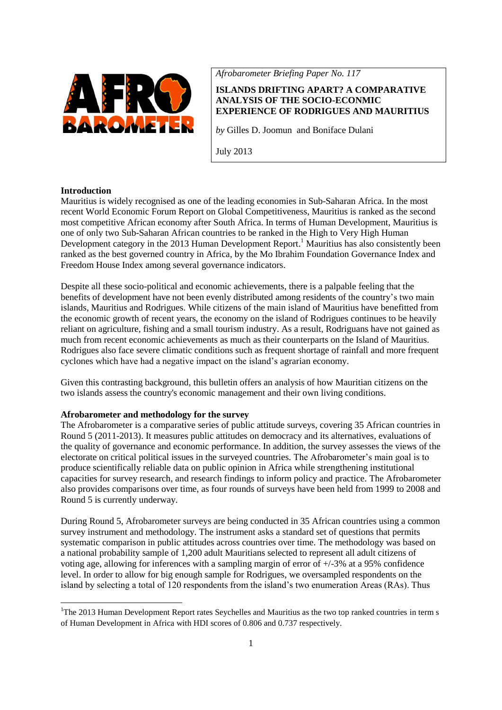

*Afrobarometer Briefing Paper No. 117*

# **ISLANDS DRIFTING APART? A COMPARATIVE ANALYSIS OF THE SOCIO-ECONMIC EXPERIENCE OF RODRIGUES AND MAURITIUS**

*by* Gilles D. Joomun and Boniface Dulani

July 2013

## **Introduction**

**.** 

Mauritius is widely recognised as one of the leading economies in Sub-Saharan Africa. In the most recent World Economic Forum Report on Global Competitiveness, Mauritius is ranked as the second most competitive African economy after South Africa. In terms of Human Development, Mauritius is one of only two Sub-Saharan African countries to be ranked in the High to Very High Human Development category in the 2013 Human Development Report.<sup>1</sup> Mauritius has also consistently been ranked as the best governed country in Africa, by the Mo Ibrahim Foundation Governance Index and Freedom House Index among several governance indicators.

Despite all these socio-political and economic achievements, there is a palpable feeling that the benefits of development have not been evenly distributed among residents of the country's two main islands, Mauritius and Rodrigues. While citizens of the main island of Mauritius have benefitted from the economic growth of recent years, the economy on the island of Rodrigues continues to be heavily reliant on agriculture, fishing and a small tourism industry. As a result, Rodriguans have not gained as much from recent economic achievements as much as their counterparts on the Island of Mauritius. Rodrigues also face severe climatic conditions such as frequent shortage of rainfall and more frequent cyclones which have had a negative impact on the island's agrarian economy.

Given this contrasting background, this bulletin offers an analysis of how Mauritian citizens on the two islands assess the country's economic management and their own living conditions.

## **Afrobarometer and methodology for the survey**

The Afrobarometer is a comparative series of public attitude surveys, covering 35 African countries in Round 5 (2011-2013). It measures public attitudes on democracy and its alternatives, evaluations of the quality of governance and economic performance. In addition, the survey assesses the views of the electorate on critical political issues in the surveyed countries. The Afrobarometer's main goal is to produce scientifically reliable data on public opinion in Africa while strengthening institutional capacities for survey research, and research findings to inform policy and practice. The Afrobarometer also provides comparisons over time, as four rounds of surveys have been held from 1999 to 2008 and Round 5 is currently underway.

During Round 5, Afrobarometer surveys are being conducted in 35 African countries using a common survey instrument and methodology. The instrument asks a standard set of questions that permits systematic comparison in public attitudes across countries over time. The methodology was based on a national probability sample of 1,200 adult Mauritians selected to represent all adult citizens of voting age, allowing for inferences with a sampling margin of error of  $+/-3\%$  at a 95% confidence level. In order to allow for big enough sample for Rodrigues, we oversampled respondents on the island by selecting a total of 120 respondents from the island's two enumeration Areas (RAs). Thus

<sup>&</sup>lt;sup>1</sup>The 2013 Human Development Report rates Seychelles and Mauritius as the two top ranked countries in term s of Human Development in Africa with HDI scores of 0.806 and 0.737 respectively.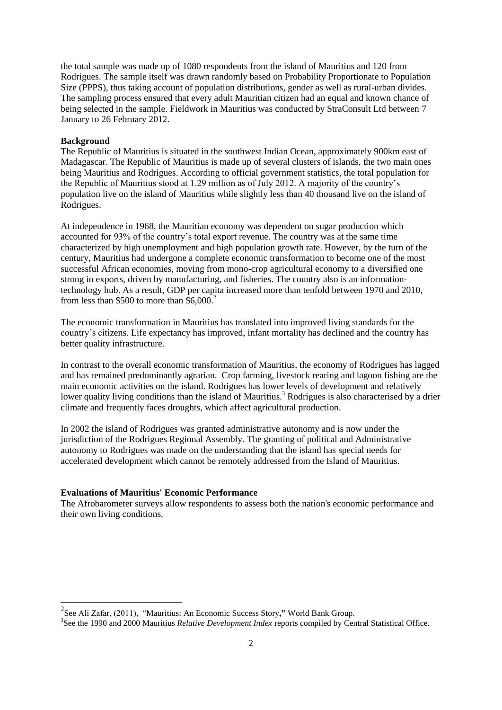the total sample was made up of 1080 respondents from the island of Mauritius and 120 from Rodrigues. The sample itself was drawn randomly based on Probability Proportionate to Population Size (PPPS), thus taking account of population distributions, gender as well as rural-urban divides. The sampling process ensured that every adult Mauritian citizen had an equal and known chance of being selected in the sample. Fieldwork in Mauritius was conducted by StraConsult Ltd between 7 January to 26 February 2012.

#### **Background**

**.** 

The Republic of Mauritius is situated in the southwest Indian Ocean, approximately 900km east of Madagascar. The Republic of Mauritius is made up of several clusters of islands, the two main ones being Mauritius and Rodrigues. According to official government statistics, the total population for the Republic of Mauritius stood at 1.29 million as of July 2012. A majority of the country's population live on the island of Mauritius while slightly less than 40 thousand live on the island of Rodrigues.

At independence in 1968, the Mauritian economy was dependent on sugar production which accounted for 93% of the country's total export revenue. The country was at the same time characterized by high unemployment and high population growth rate. However, by the turn of the century, Mauritius had undergone a complete economic transformation to become one of the most successful African economies, moving from mono-crop agricultural economy to a diversified one strong in exports, driven by manufacturing, and fisheries. The country also is an informationtechnology hub. As a result, GDP per capita increased more than tenfold between 1970 and 2010, from less than \$500 to more than  $$6,000.<sup>2</sup>$ 

The economic transformation in Mauritius has translated into improved living standards for the country's citizens. Life expectancy has improved, infant mortality has declined and the country has better quality infrastructure.

In contrast to the overall economic transformation of Mauritius, the economy of Rodrigues has lagged and has remained predominantly agrarian. Crop farming, livestock rearing and lagoon fishing are the main economic activities on the island. Rodrigues has lower levels of development and relatively lower quality living conditions than the island of Mauritius.<sup>3</sup> Rodrigues is also characterised by a drier climate and frequently faces droughts, which affect agricultural production.

In 2002 the island of Rodrigues was granted administrative autonomy and is now under the jurisdiction of the Rodrigues Regional Assembly. The granting of political and Administrative autonomy to Rodrigues was made on the understanding that the island has special needs for accelerated development which cannot be remotely addressed from the Island of Mauritius.

## **Evaluations of Mauritius' Economic Performance**

The Afrobarometer surveys allow respondents to assess both the nation's economic performance and their own living conditions.

<sup>2</sup> See Ali Zafar, (2011), "Mauritius: An Economic Success Story**,"** World Bank Group.

<sup>&</sup>lt;sup>3</sup>See the 1990 and 2000 Mauritius *Relative Development Index* reports compiled by Central Statistical Office.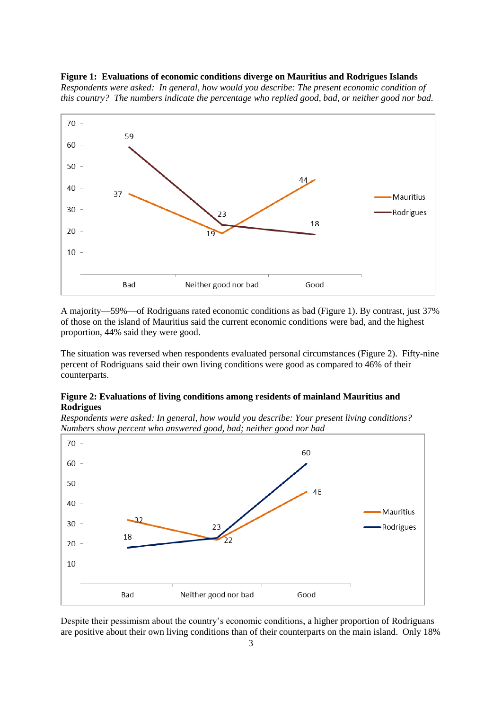#### **Figure 1: Evaluations of economic conditions diverge on Mauritius and Rodrigues Islands**

*Respondents were asked: In general, how would you describe: The present economic condition of this country? The numbers indicate the percentage who replied good, bad, or neither good nor bad.*



A majority—59%—of Rodriguans rated economic conditions as bad (Figure 1). By contrast, just 37% of those on the island of Mauritius said the current economic conditions were bad, and the highest proportion, 44% said they were good.

The situation was reversed when respondents evaluated personal circumstances (Figure 2). Fifty-nine percent of Rodriguans said their own living conditions were good as compared to 46% of their counterparts.

## **Figure 2: Evaluations of living conditions among residents of mainland Mauritius and Rodrigues**

*Respondents were asked: In general, how would you describe: Your present living conditions? Numbers show percent who answered good, bad; neither good nor bad*



Despite their pessimism about the country's economic conditions, a higher proportion of Rodriguans are positive about their own living conditions than of their counterparts on the main island. Only 18%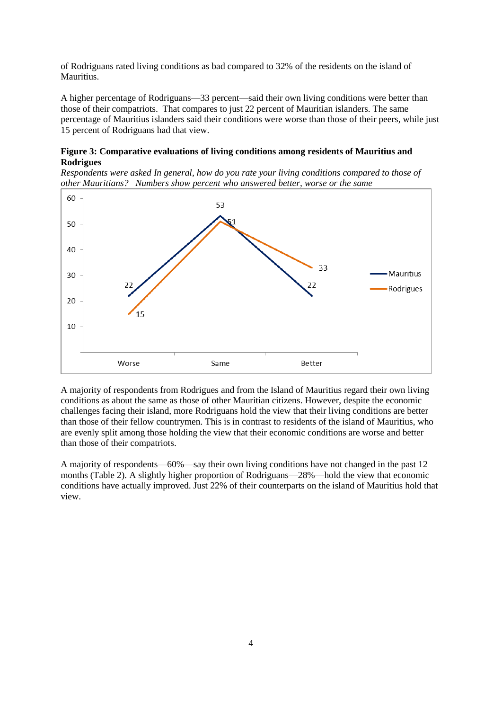of Rodriguans rated living conditions as bad compared to 32% of the residents on the island of Mauritius.

A higher percentage of Rodriguans—33 percent—said their own living conditions were better than those of their compatriots. That compares to just 22 percent of Mauritian islanders. The same percentage of Mauritius islanders said their conditions were worse than those of their peers, while just 15 percent of Rodriguans had that view.

## **Figure 3: Comparative evaluations of living conditions among residents of Mauritius and Rodrigues**

*Respondents were asked In general, how do you rate your living conditions compared to those of other Mauritians? Numbers show percent who answered better, worse or the same*



A majority of respondents from Rodrigues and from the Island of Mauritius regard their own living conditions as about the same as those of other Mauritian citizens. However, despite the economic challenges facing their island, more Rodriguans hold the view that their living conditions are better than those of their fellow countrymen. This is in contrast to residents of the island of Mauritius, who are evenly split among those holding the view that their economic conditions are worse and better than those of their compatriots.

A majority of respondents—60%—say their own living conditions have not changed in the past 12 months (Table 2). A slightly higher proportion of Rodriguans—28%—hold the view that economic conditions have actually improved. Just 22% of their counterparts on the island of Mauritius hold that view.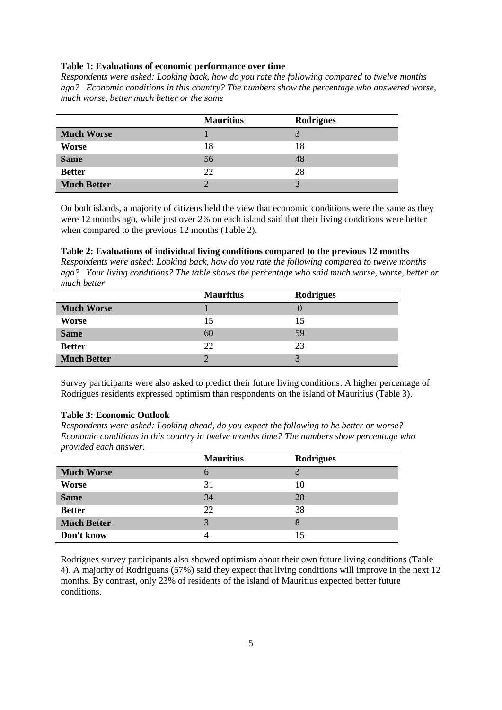#### **Table 1: Evaluations of economic performance over time**

*Respondents were asked: Looking back, how do you rate the following compared to twelve months ago? Economic conditions in this country? The numbers show the percentage who answered worse, much worse, better much better or the same*

|                    | <b>Mauritius</b> | <b>Rodrigues</b> |
|--------------------|------------------|------------------|
| <b>Much Worse</b>  |                  | 2                |
| Worse              | 18               | 18               |
| <b>Same</b>        | 56               | 48               |
| <b>Better</b>      | 22               | 28               |
| <b>Much Better</b> | $\bigcap$        | 2                |

On both islands, a majority of citizens held the view that economic conditions were the same as they were 12 months ago, while just over 2% on each island said that their living conditions were better when compared to the previous 12 months (Table 2).

### **Table 2: Evaluations of individual living conditions compared to the previous 12 months**

*Respondents were asked*: *Looking back, how do you rate the following compared to twelve months ago? Your living conditions? The table shows the percentage who said much worse, worse, better or much better*

|                    | <b>Mauritius</b> | <b>Rodrigues</b> |
|--------------------|------------------|------------------|
| <b>Much Worse</b>  |                  |                  |
| <b>Worse</b>       | 15               | 15               |
| <b>Same</b>        | 60               | 59               |
| <b>Better</b>      | 22               | 23               |
| <b>Much Better</b> | ◠                | 2                |

Survey participants were also asked to predict their future living conditions. A higher percentage of Rodrigues residents expressed optimism than respondents on the island of Mauritius (Table 3).

#### **Table 3: Economic Outlook**

*Respondents were asked: Looking ahead, do you expect the following to be better or worse? Economic conditions in this country in twelve months time? The numbers show percentage who provided each answer.*

| $\overline{\phantom{a}}$ | <b>Mauritius</b> | <b>Rodrigues</b> |
|--------------------------|------------------|------------------|
| <b>Much Worse</b>        | 6                | 3                |
| Worse                    | 31               | 10               |
| <b>Same</b>              | 34               | 28               |
| <b>Better</b>            | 22               | 38               |
| <b>Much Better</b>       | 3                | 8                |
| Don't know               |                  | 15               |

Rodrigues survey participants also showed optimism about their own future living conditions (Table 4). A majority of Rodriguans (57%) said they expect that living conditions will improve in the next 12 months. By contrast, only 23% of residents of the island of Mauritius expected better future conditions.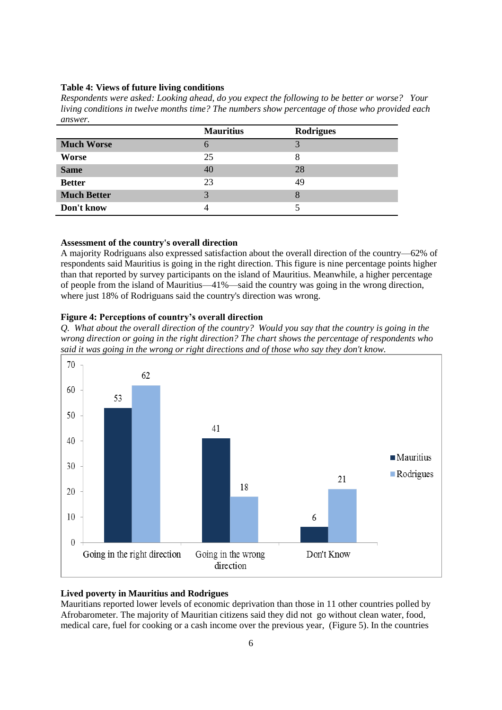#### **Table 4: Views of future living conditions**

*Respondents were asked: Looking ahead, do you expect the following to be better or worse? Your living conditions in twelve months time? The numbers show percentage of those who provided each answer.*

|                    | <b>Mauritius</b> | <b>Rodrigues</b> |
|--------------------|------------------|------------------|
| <b>Much Worse</b>  | $\mathfrak h$    | 3                |
| Worse              | 25               | 8                |
| <b>Same</b>        | 40               | 28               |
| <b>Better</b>      | 23               | 49               |
| <b>Much Better</b> | 3                | 8                |
| Don't know         | 4                |                  |

#### **Assessment of the country's overall direction**

A majority Rodriguans also expressed satisfaction about the overall direction of the country—62% of respondents said Mauritius is going in the right direction. This figure is nine percentage points higher than that reported by survey participants on the island of Mauritius. Meanwhile, a higher percentage of people from the island of Mauritius—41%—said the country was going in the wrong direction, where just 18% of Rodriguans said the country's direction was wrong.

## **Figure 4: Perceptions of country's overall direction**

*Q. What about the overall direction of the country? Would you say that the country is going in the wrong direction or going in the right direction? The chart shows the percentage of respondents who said it was going in the wrong or right directions and of those who say they don't know.*



## **Lived poverty in Mauritius and Rodrigues**

Mauritians reported lower levels of economic deprivation than those in 11 other countries polled by Afrobarometer. The majority of Mauritian citizens said they did not go without clean water, food, medical care, fuel for cooking or a cash income over the previous year, (Figure 5). In the countries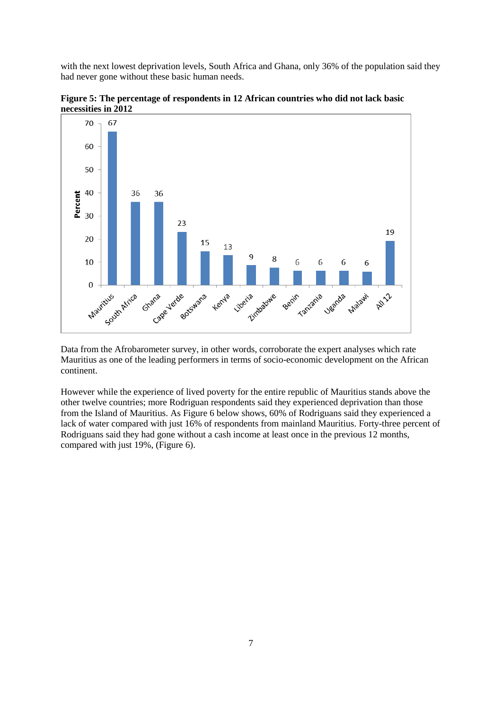with the next lowest deprivation levels, South Africa and Ghana, only 36% of the population said they had never gone without these basic human needs.



**Figure 5: The percentage of respondents in 12 African countries who did not lack basic necessities in 2012** 

Data from the Afrobarometer survey, in other words, corroborate the expert analyses which rate Mauritius as one of the leading performers in terms of socio-economic development on the African continent.

However while the experience of lived poverty for the entire republic of Mauritius stands above the other twelve countries; more Rodriguan respondents said they experienced deprivation than those from the Island of Mauritius. As Figure 6 below shows, 60% of Rodriguans said they experienced a lack of water compared with just 16% of respondents from mainland Mauritius. Forty-three percent of Rodriguans said they had gone without a cash income at least once in the previous 12 months, compared with just 19%, (Figure 6).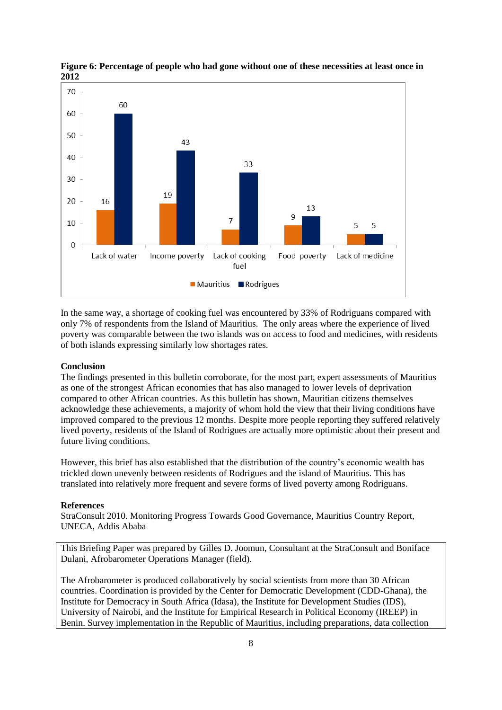

**Figure 6: Percentage of people who had gone without one of these necessities at least once in 2012**

In the same way, a shortage of cooking fuel was encountered by 33% of Rodriguans compared with only 7% of respondents from the Island of Mauritius. The only areas where the experience of lived poverty was comparable between the two islands was on access to food and medicines, with residents of both islands expressing similarly low shortages rates.

### **Conclusion**

The findings presented in this bulletin corroborate, for the most part, expert assessments of Mauritius as one of the strongest African economies that has also managed to lower levels of deprivation compared to other African countries. As this bulletin has shown, Mauritian citizens themselves acknowledge these achievements, a majority of whom hold the view that their living conditions have improved compared to the previous 12 months. Despite more people reporting they suffered relatively lived poverty, residents of the Island of Rodrigues are actually more optimistic about their present and future living conditions.

However, this brief has also established that the distribution of the country's economic wealth has trickled down unevenly between residents of Rodrigues and the island of Mauritius. This has translated into relatively more frequent and severe forms of lived poverty among Rodriguans.

#### **References**

StraConsult 2010. Monitoring Progress Towards Good Governance, Mauritius Country Report, UNECA, Addis Ababa

This Briefing Paper was prepared by Gilles D. Joomun, Consultant at the StraConsult and Boniface Dulani, Afrobarometer Operations Manager (field).

The Afrobarometer is produced collaboratively by social scientists from more than 30 African countries. Coordination is provided by the Center for Democratic Development (CDD-Ghana), the Institute for Democracy in South Africa (Idasa), the Institute for Development Studies (IDS), University of Nairobi, and the Institute for Empirical Research in Political Economy (IREEP) in Benin. Survey implementation in the Republic of Mauritius, including preparations, data collection